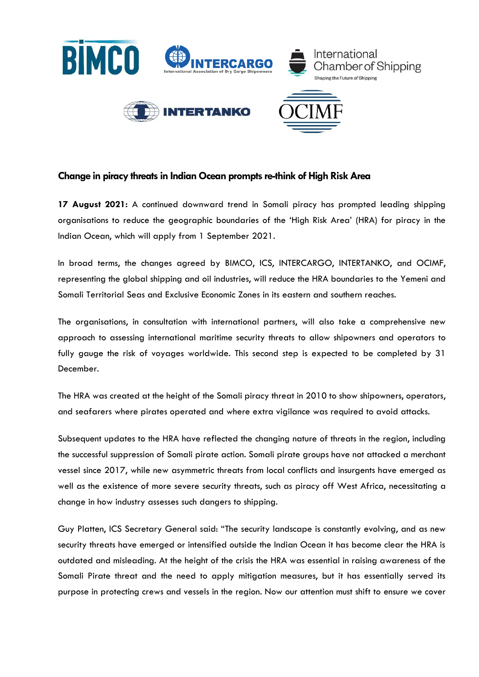

# **Change in piracy threats in Indian Ocean prompts re-think of High Risk Area**

**17 August 2021:** A continued downward trend in Somali piracy has prompted leading shipping organisations to reduce the geographic boundaries of the 'High Risk Area' (HRA) for piracy in the Indian Ocean, which will apply from 1 September 2021.

In broad terms, the changes agreed by BIMCO, ICS, INTERCARGO, INTERTANKO, and OCIMF, representing the global shipping and oil industries, will reduce the HRA boundaries to the Yemeni and Somali Territorial Seas and Exclusive Economic Zones in its eastern and southern reaches.

The organisations, in consultation with international partners, will also take a comprehensive new approach to assessing international maritime security threats to allow shipowners and operators to fully gauge the risk of voyages worldwide. This second step is expected to be completed by 31 December.

The HRA was created at the height of the Somali piracy threat in 2010 to show shipowners, operators, and seafarers where pirates operated and where extra vigilance was required to avoid attacks.

Subsequent updates to the HRA have reflected the changing nature of threats in the region, including the successful suppression of Somali pirate action. Somali pirate groups have not attacked a merchant vessel since 2017, while new asymmetric threats from local conflicts and insurgents have emerged as well as the existence of more severe security threats, such as piracy off West Africa, necessitating a change in how industry assesses such dangers to shipping.

Guy Platten, ICS Secretary General said: "The security landscape is constantly evolving, and as new security threats have emerged or intensified outside the Indian Ocean it has become clear the HRA is outdated and misleading. At the height of the crisis the HRA was essential in raising awareness of the Somali Pirate threat and the need to apply mitigation measures, but it has essentially served its purpose in protecting crews and vessels in the region. Now our attention must shift to ensure we cover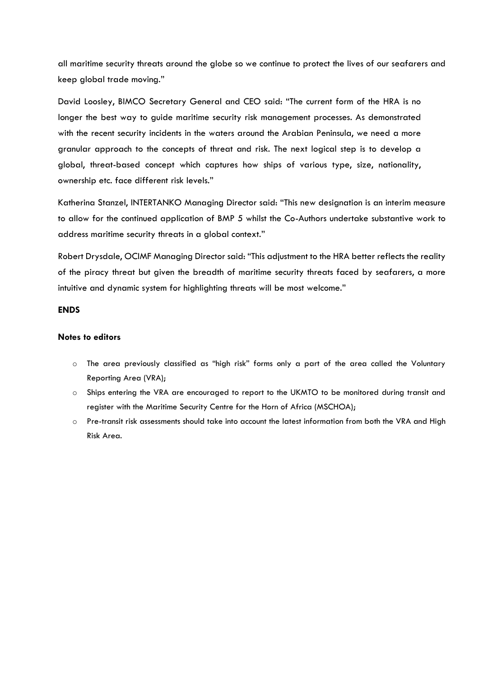all maritime security threats around the globe so we continue to protect the lives of our seafarers and keep global trade moving."

David Loosley, BIMCO Secretary General and CEO said: "The current form of the HRA is no longer the best way to guide maritime security risk management processes. As demonstrated with the recent security incidents in the waters around the Arabian Peninsula, we need a more granular approach to the concepts of threat and risk. The next logical step is to develop a global, threat-based concept which captures how ships of various type, size, nationality, ownership etc. face different risk levels."

Katherina Stanzel, INTERTANKO Managing Director said: "This new designation is an interim measure to allow for the continued application of BMP 5 whilst the Co-Authors undertake substantive work to address maritime security threats in a global context."

Robert Drysdale, OCIMF Managing Director said: "This adjustment to the HRA better reflects the reality of the piracy threat but given the breadth of maritime security threats faced by seafarers, a more intuitive and dynamic system for highlighting threats will be most welcome."

### **ENDS**

#### **Notes to editors**

- o The area previously classified as "high risk" forms only a part of the area called the Voluntary Reporting Area (VRA);
- o Ships entering the VRA are encouraged to report to the UKMTO to be monitored during transit and register with the Maritime Security Centre for the Horn of Africa (MSCHOA);
- o Pre-transit risk assessments should take into account the latest information from both the VRA and High Risk Area.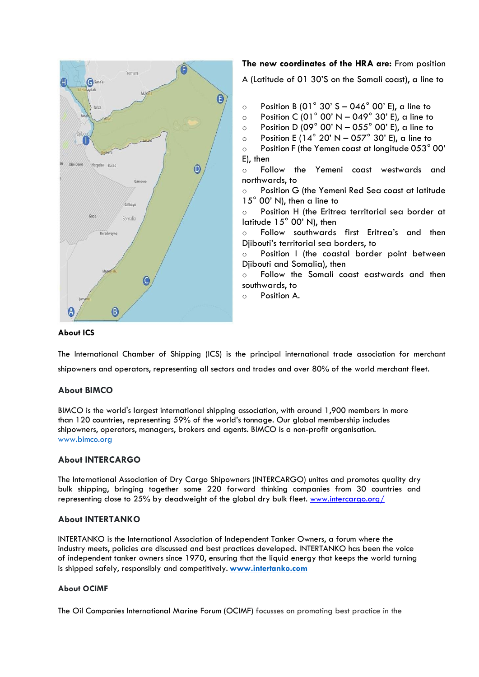

**The new coordinates of the HRA are:** From position

A (Latitude of 01 30'S on the Somali coast), a line to

- $\circ$  Position B (01° 30' S 046° 00' E), a line to
- **DEDUAL CONSTRANGE CONTENT** Position C (01° 00' N 049° 30' E), a line to
- $\circ$  Position D (09° 00' N 055° 00' E), a line to
- o Position E (14 $\degree$  20' N 057 $\degree$  30' E), a line to
- $\circ$  Position F (the Yemen coast at longitude 053 $^{\circ}$  00' E), then
- o Follow the Yemeni coast westwards and northwards, to
- o Position G (the Yemeni Red Sea coast at latitude 15° 00' N), then a line to
- o Position H (the Eritrea territorial sea border at latitude 15° 00' N), then
- o Follow southwards first Eritrea's and then Djibouti's territorial sea borders, to
- Position I (the coastal border point between Djibouti and Somalia), then
- Follow the Somali coast eastwards and then southwards, to
- o Position A.

### **About ICS**

The International Chamber of Shipping (ICS) is the principal international trade association for merchant shipowners and operators, representing all sectors and trades and over 80% of the world merchant fleet.  

## **About BIMCO**

BIMCO is the world's largest international shipping association, with around 1,900 members in more than 120 countries, representing 59% of the world's tonnage. Our global membership includes shipowners, operators, managers, brokers and agents. BIMCO is a non-profit organisation. [www.bimco.org](http://www.bimco.org/)

### **About INTERCARGO**

The International Association of Dry Cargo Shipowners (INTERCARGO) unites and promotes quality dry bulk shipping, bringing together some 220 forward thinking companies from 30 countries and representing close to 25% by deadweight of the global dry bulk fleet. [www.intercargo.org/](http://www.intercargo.org/)

### **About INTERTANKO**

INTERTANKO is the International Association of Independent Tanker Owners, a forum where the industry meets, policies are discussed and best practices developed. INTERTANKO has been the voice of independent tanker owners since 1970, ensuring that the liquid energy that keeps the world turning is shipped safely, responsibly and competitively. **[www.intertanko.com](https://gbr01.safelinks.protection.outlook.com/?url=http%3A%2F%2Fwww.intertanko.com%2F&data=04%7C01%7CTanya.Blake%40ics-shipping.org%7C330e752832224c0bc58908d92be0901b%7C2741b7d3017f4b0ba567b9f702ab9cab%7C0%7C0%7C637589065749033278%7CUnknown%7CTWFpbGZsb3d8eyJWIjoiMC4wLjAwMDAiLCJQIjoiV2luMzIiLCJBTiI6Ik1haWwiLCJXVCI6Mn0%3D%7C1000&sdata=LpOb0o0olwIYyERIGtF3uRsVaSdIYPSJWYNPMnkUvSs%3D&reserved=0)**

### **About OCIMF**

The Oil Companies International Marine Forum (OCIMF) focusses on promoting best practice in the